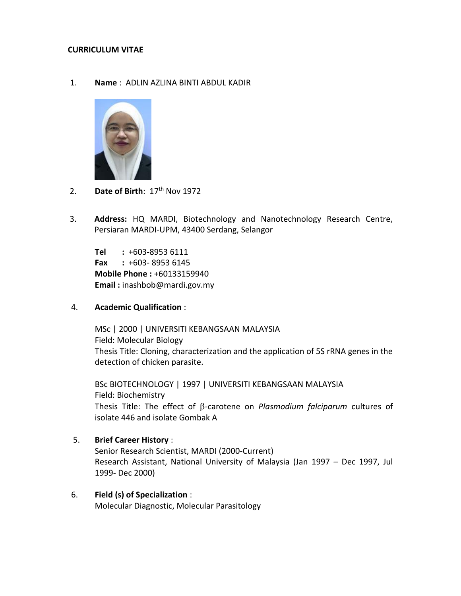## **CURRICULUM VITAE**

1. **Name** : ADLIN AZLINA BINTI ABDUL KADIR



- 2. **Date of Birth**: 17th Nov 1972
- 3. **Address:** HQ MARDI, Biotechnology and Nanotechnology Research Centre, Persiaran MARDI-UPM, 43400 Serdang, Selangor

**Tel :** +603-8953 6111 **Fax :** +603- 8953 6145 **Mobile Phone :** +60133159940 **Email :** inashbob@mardi.gov.my

4. **Academic Qualification** :

MSc | 2000 | UNIVERSITI KEBANGSAAN MALAYSIA Field: Molecular Biology Thesis Title: Cloning, characterization and the application of 5S rRNA genes in the detection of chicken parasite.

BSc BIOTECHNOLOGY | 1997 | UNIVERSITI KEBANGSAAN MALAYSIA Field: Biochemistry Thesis Title: The effect of β-carotene on *Plasmodium falciparum* cultures of isolate 446 and isolate Gombak A

- 5. **Brief Career History** : Senior Research Scientist, MARDI (2000-Current) Research Assistant, National University of Malaysia (Jan 1997 – Dec 1997, Jul 1999- Dec 2000)
- 6. **Field (s) of Specialization** : Molecular Diagnostic, Molecular Parasitology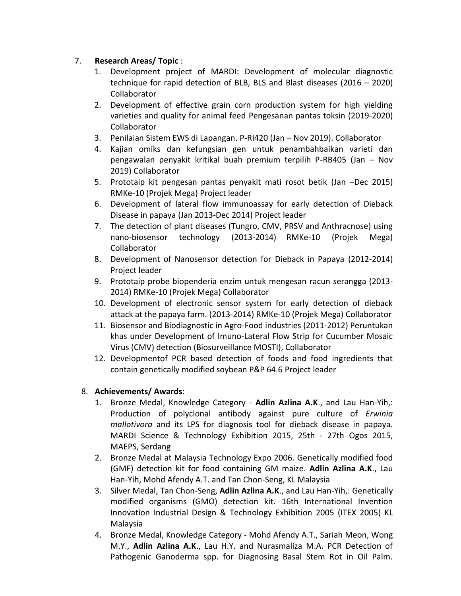## 7. **Research Areas/ Topic** :

- 1. Development project of MARDI: Development of molecular diagnostic technique for rapid detection of BLB, BLS and Blast diseases (2016 – 2020) Collaborator
- 2. Development of effective grain corn production system for high yielding varieties and quality for animal feed Pengesanan pantas toksin (2019-2020) Collaborator
- 3. Penilaian Sistem EWS di Lapangan. P-RI420 (Jan Nov 2019). Collaborator
- 4. Kajian omiks dan kefungsian gen untuk penambahbaikan varieti dan pengawalan penyakit kritikal buah premium terpilih P-RB405 (Jan – Nov 2019) Collaborator
- 5. Prototaip kit pengesan pantas penyakit mati rosot betik (Jan –Dec 2015) RMKe-10 (Projek Mega) Project leader
- 6. Development of lateral flow immunoassay for early detection of Dieback Disease in papaya (Jan 2013-Dec 2014) Project leader
- 7. The detection of plant diseases (Tungro, CMV, PRSV and Anthracnose) using nano-biosensor technology (2013-2014) RMKe-10 (Projek Mega) Collaborator
- 8. Development of Nanosensor detection for Dieback in Papaya (2012-2014) Project leader
- 9. Prototaip probe biopenderia enzim untuk mengesan racun serangga (2013- 2014) RMKe-10 (Projek Mega) Collaborator
- 10. Development of electronic sensor system for early detection of dieback attack at the papaya farm. (2013-2014) RMKe-10 (Projek Mega) Collaborator
- 11. Biosensor and Biodiagnostic in Agro-Food industries (2011-2012) Peruntukan khas under Development of Imuno-Lateral Flow Strip for Cucumber Mosaic Virus (CMV) detection (Biosurveillance MOSTI), Collaborator
- 12. Developmentof PCR based detection of foods and food ingredients that contain genetically modified soybean P&P 64.6 Project leader

## 8. **Achievements/ Awards**:

- 1. Bronze Medal, Knowledge Category **Adlin Azlina A.K**., and Lau Han-Yih,: Production of polyclonal antibody against pure culture of *Erwinia mallotivora* and its LPS for diagnosis tool for dieback disease in papaya. MARDI Science & Technology Exhibition 2015, 25th - 27th Ogos 2015, MAEPS, Serdang
- 2. Bronze Medal at Malaysia Technology Expo 2006. Genetically modified food (GMF) detection kit for food containing GM maize. **Adlin Azlina A.K**., Lau Han-Yih, Mohd Afendy A.T. and Tan Chon-Seng, KL Malaysia
- 3. Silver Medal, Tan Chon-Seng, **Adlin Azlina A.K**., and Lau Han-Yih,: Genetically modified organisms (GMO) detection kit. 16th International Invention Innovation Industrial Design & Technology Exhibition 2005 (ITEX 2005) KL Malaysia
- 4. Bronze Medal, Knowledge Category Mohd Afendy A.T., Sariah Meon, Wong M.Y., **Adlin Azlina A.K**., Lau H.Y. and Nurasmaliza M.A. PCR Detection of Pathogenic Ganoderma spp. for Diagnosing Basal Stem Rot in Oil Palm.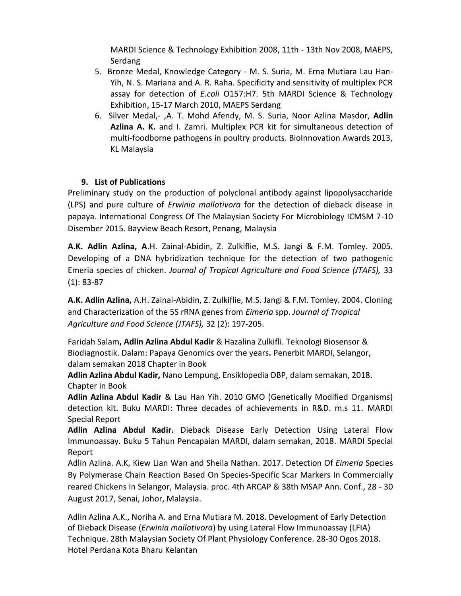MARDI Science & Technology Exhibition 2008, 11th - 13th Nov 2008, MAEPS, Serdang

- 5. Bronze Medal, Knowledge Category M. S. Suria, M. Erna Mutiara Lau Han-Yih, N. S. Mariana and A. R. Raha. Specificity and sensitivity of multiplex PCR assay for detection of *E.coli* O157:H7. 5th MARDI Science & Technology Exhibition, 15-17 March 2010, MAEPS Serdang
- 6. Silver Medal,- ,A. T. Mohd Afendy, M. S. Suria, Noor Azlina Masdor, **Adlin Azlina A. K.** and I. Zamri. Multiplex PCR kit for simultaneous detection of multi-foodborne pathogens in poultry products. BioInnovation Awards 2013, KL Malaysia

## **9. List of Publications**

Preliminary study on the production of polyclonal antibody against lipopolysaccharide (LPS) and pure culture of *Erwinia mallotivora* for the detection of dieback disease in papaya. International Congress Of The Malaysian Society For Microbiology ICMSM 7-10 Disember 2015. Bayview Beach Resort, Penang, Malaysia

**A.K. Adlin Azlina, A**.H. Zainal-Abidin, Z. Zulkiflie, M.S. Jangi & F.M. Tomley. 2005. Developing of a DNA hybridization technique for the detection of two pathogenic Emeria species of chicken. *Journal of Tropical Agriculture and Food Science (JTAFS),* 33 (1): 83-87

**A.K. Adlin Azlina,** A.H. Zainal-Abidin, Z. Zulkiflie, M.S. Jangi & F.M. Tomley. 2004. Cloning and Characterization of the 5S rRNA genes from *Eimeria* spp. *Journal of Tropical Agriculture and Food Science (JTAFS),* 32 (2): 197-205.

Faridah Salam**, Adlin Azlina Abdul Kadir** & Hazalina Zulkifli. Teknologi Biosensor & Biodiagnostik. Dalam: Papaya Genomics over the years**.** Penerbit MARDI, Selangor, dalam semakan 2018 Chapter in Book

**Adlin Azlina Abdul Kadir,** Nano Lempung, Ensiklopedia DBP, dalam semakan, 2018. Chapter in Book

**Adlin Azlina Abdul Kadir** & Lau Han Yih. 2010 GMO (Genetically Modified Organisms) detection kit. Buku MARDI: Three decades of achievements in R&D. m.s 11. MARDI Special Report

**Adlin Azlina Abdul Kadir.** Dieback Disease Early Detection Using Lateral Flow Immunoassay. Buku 5 Tahun Pencapaian MARDI, dalam semakan, 2018. MARDI Special Report

Adlin Azlina. A.K, Kiew Lian Wan and Sheila Nathan. 2017. Detection Of *Eimeria* Species By Polymerase Chain Reaction Based On Species-Specific Scar Markers In Commercially reared Chickens In Selangor, Malaysia. proc. 4th ARCAP & 38th MSAP Ann. Conf., 28 - 30 August 2017, Senai, Johor, Malaysia.

Adlin Azlina A.K., Noriha A. and Erna Mutiara M. 2018. Development of Early Detection of Dieback Disease (*Erwinia mallotivora*) by using Lateral Flow Immunoassay (LFIA) Technique. 28th Malaysian Society Of Plant Physiology Conference. 28-30 Ogos 2018. Hotel Perdana Kota Bharu Kelantan